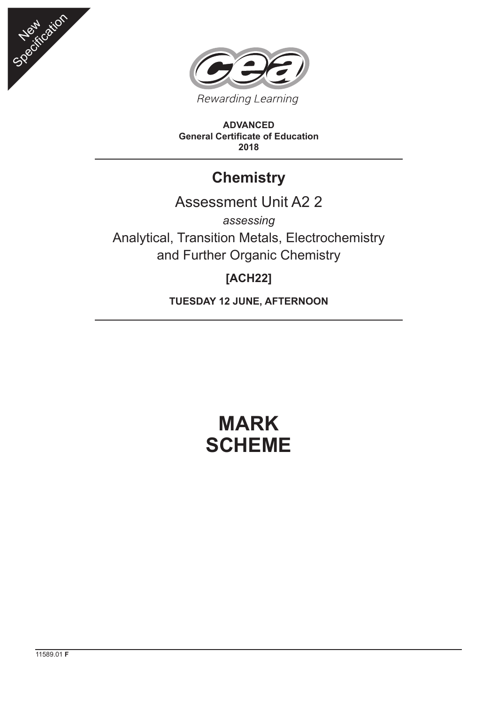



**ADVANCED General Certificate of Education 2018**

## **Chemistry**

## Assessment Unit A2 2

*assessing* Analytical, Transition Metals, Electrochemistry and Further Organic Chemistry

## **[ACH22]**

**TUESDAY 12 JUNE, AFTERNOON**

# **MARK SCHEME**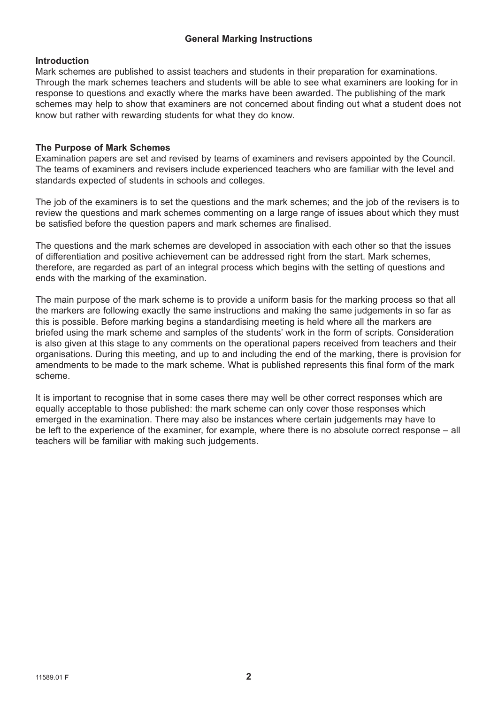### **General Marking Instructions**

#### **Introduction**

Mark schemes are published to assist teachers and students in their preparation for examinations. Through the mark schemes teachers and students will be able to see what examiners are looking for in response to questions and exactly where the marks have been awarded. The publishing of the mark schemes may help to show that examiners are not concerned about finding out what a student does not know but rather with rewarding students for what they do know.

#### **The Purpose of Mark Schemes**

Examination papers are set and revised by teams of examiners and revisers appointed by the Council. The teams of examiners and revisers include experienced teachers who are familiar with the level and standards expected of students in schools and colleges.

The job of the examiners is to set the questions and the mark schemes; and the job of the revisers is to review the questions and mark schemes commenting on a large range of issues about which they must be satisfied before the question papers and mark schemes are finalised.

The questions and the mark schemes are developed in association with each other so that the issues of differentiation and positive achievement can be addressed right from the start. Mark schemes, therefore, are regarded as part of an integral process which begins with the setting of questions and ends with the marking of the examination.

The main purpose of the mark scheme is to provide a uniform basis for the marking process so that all the markers are following exactly the same instructions and making the same judgements in so far as this is possible. Before marking begins a standardising meeting is held where all the markers are briefed using the mark scheme and samples of the students' work in the form of scripts. Consideration is also given at this stage to any comments on the operational papers received from teachers and their organisations. During this meeting, and up to and including the end of the marking, there is provision for amendments to be made to the mark scheme. What is published represents this final form of the mark scheme.

It is important to recognise that in some cases there may well be other correct responses which are equally acceptable to those published: the mark scheme can only cover those responses which emerged in the examination. There may also be instances where certain judgements may have to be left to the experience of the examiner, for example, where there is no absolute correct response – all teachers will be familiar with making such judgements.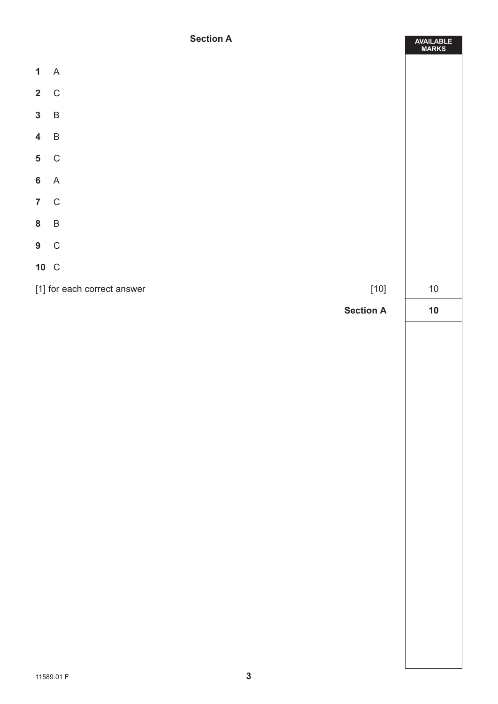### **Section A**

|                         | <b>Section A</b>                      | AVAILABLE<br>MARKS |
|-------------------------|---------------------------------------|--------------------|
| $\mathbf{1}$            | $\overline{A}$                        |                    |
| $2\quad C$              |                                       |                    |
| $\mathbf{3}$            | $\overline{B}$                        |                    |
|                         |                                       |                    |
| $\overline{\mathbf{4}}$ | $\overline{B}$                        |                    |
| $5\phantom{.0}$         | $\mathsf{C}$                          |                    |
| 6A                      |                                       |                    |
| 7 C                     |                                       |                    |
| 8 B                     |                                       |                    |
| $9\quad C$              |                                       |                    |
| 10 C                    |                                       |                    |
|                         | [1] for each correct answer<br>$[10]$ | $10\,$             |
|                         | <b>Section A</b>                      | $10$               |
|                         |                                       |                    |
|                         |                                       |                    |
|                         |                                       |                    |
|                         |                                       |                    |
|                         |                                       |                    |
|                         |                                       |                    |
|                         |                                       |                    |
|                         |                                       |                    |
|                         |                                       |                    |
|                         |                                       |                    |
|                         |                                       |                    |
|                         |                                       |                    |
|                         |                                       |                    |
|                         |                                       |                    |
|                         |                                       |                    |
|                         |                                       |                    |
|                         |                                       |                    |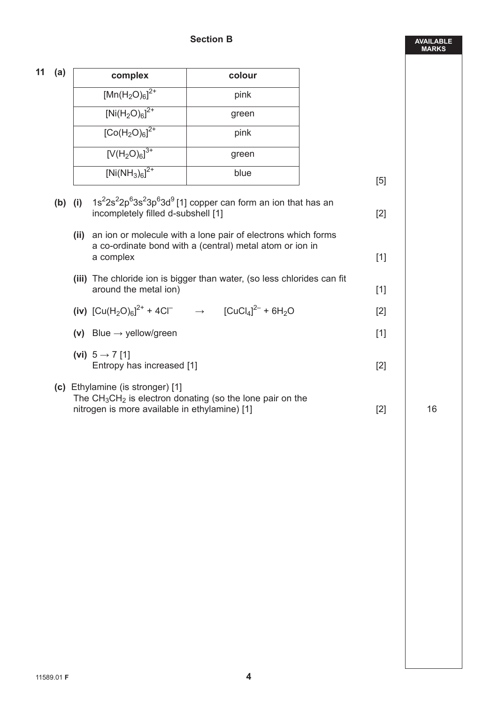|--|--|

| 11 | (a)       | complex                                                                           | colour                                                                                                                        |       |    |
|----|-----------|-----------------------------------------------------------------------------------|-------------------------------------------------------------------------------------------------------------------------------|-------|----|
|    |           | $[Mn(H2O)6]2+$                                                                    | pink                                                                                                                          |       |    |
|    |           | $[Ni(H_2O)_6]^{2+}$                                                               | green                                                                                                                         |       |    |
|    |           | $[Co(H2O)6]2+$                                                                    | pink                                                                                                                          |       |    |
|    |           | $[V(H_2O)_6]^{3+}$                                                                | green                                                                                                                         |       |    |
|    |           | $[Ni(NH_3)_6]^{2+}$                                                               | blue                                                                                                                          | [5]   |    |
|    | $(b)$ (i) | incompletely filled d-subshell [1]                                                | $1s22s22p63s23p63d9$ [1] copper can form an ion that has an                                                                   | $[2]$ |    |
|    |           | a complex                                                                         | (ii) an ion or molecule with a lone pair of electrons which forms<br>a co-ordinate bond with a (central) metal atom or ion in | $[1]$ |    |
|    |           | around the metal ion)                                                             | (iii) The chloride ion is bigger than water, (so less chlorides can fit                                                       | $[1]$ |    |
|    |           |                                                                                   | (iv) $[Cu(H_2O)_6]^{2+} + 4Cl^ \rightarrow$ $[CuCl_4]^{2-} + 6H_2O$                                                           | [2]   |    |
|    |           | (v) Blue $\rightarrow$ yellow/green                                               |                                                                                                                               | $[1]$ |    |
|    |           | (vi) $5 \rightarrow 7$ [1]<br>Entropy has increased [1]                           |                                                                                                                               | $[2]$ |    |
|    |           | (c) Ethylamine (is stronger) [1]<br>nitrogen is more available in ethylamine) [1] | The $CH_3CH_2$ is electron donating (so the lone pair on the                                                                  | $[2]$ | 16 |

**AVAILABLE MARKS**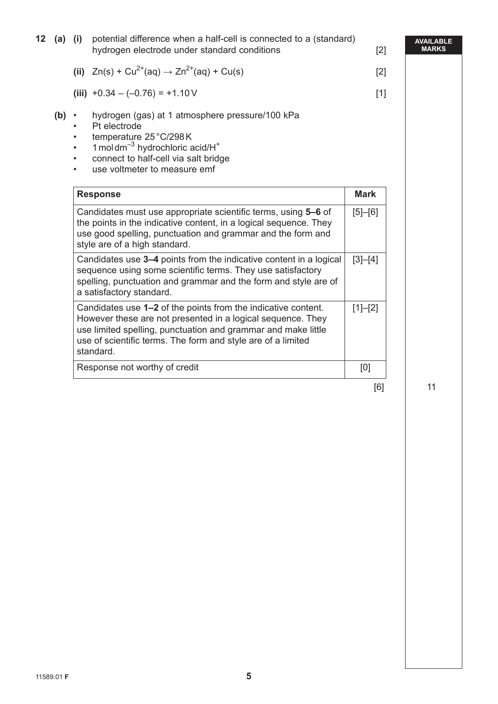| 12 | $(a)$ (i) |                                                               | potential difference when a half-cell is connected to a (standard)<br>hydrogen electrode under standard conditions                                                                                                                                                         | $[2]$         | <b>AVAILABI</b><br><b>MARKS</b> |
|----|-----------|---------------------------------------------------------------|----------------------------------------------------------------------------------------------------------------------------------------------------------------------------------------------------------------------------------------------------------------------------|---------------|---------------------------------|
|    |           |                                                               | (ii) $Zn(s) + Cu^{2+}(aq) \rightarrow Zn^{2+}(aq) + Cu(s)$                                                                                                                                                                                                                 | $[2]$         |                                 |
|    |           |                                                               | (iii) $+0.34 - (-0.76) = +1.10$ V                                                                                                                                                                                                                                          | $[1]$         |                                 |
|    | (b)       | $\bullet$<br>$\bullet$<br>$\bullet$<br>$\bullet$<br>$\bullet$ | hydrogen (gas) at 1 atmosphere pressure/100 kPa<br>Pt electrode<br>temperature 25 °C/298K<br>1 moldm $^{-3}$ hydrochloric acid/ $H^+$<br>connect to half-cell via salt bridge<br>use voltmeter to measure emf                                                              |               |                                 |
|    |           |                                                               | <b>Response</b>                                                                                                                                                                                                                                                            | <b>Mark</b>   |                                 |
|    |           |                                                               | Candidates must use appropriate scientific terms, using 5-6 of<br>the points in the indicative content, in a logical sequence. They<br>use good spelling, punctuation and grammar and the form and<br>style are of a high standard.                                        | $[5]$ - $[6]$ |                                 |
|    |           |                                                               | Candidates use 3–4 points from the indicative content in a logical<br>sequence using some scientific terms. They use satisfactory<br>spelling, punctuation and grammar and the form and style are of<br>a satisfactory standard.                                           | $[3]-[4]$     |                                 |
|    |           |                                                               | Candidates use 1–2 of the points from the indicative content.<br>However these are not presented in a logical sequence. They<br>use limited spelling, punctuation and grammar and make little<br>use of scientific terms. The form and style are of a limited<br>standard. | $[1]-[2]$     |                                 |
|    |           |                                                               | Response not worthy of credit                                                                                                                                                                                                                                              | [0]           |                                 |

 $[6]$  11

**AVAILABLE**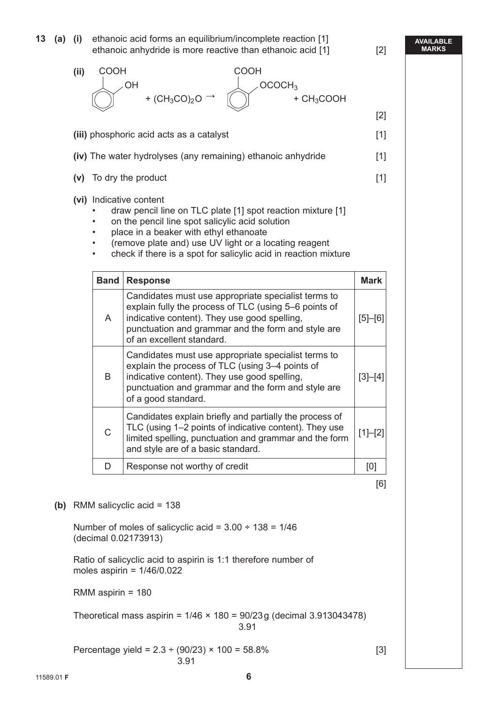**13 (a) (i)** ethanoic acid forms an equilibrium/incomplete reaction [1] ethanoic anhydride is more reactive than ethanoic acid [1] [2]

#### **AVAILABLE MARKS**



 Ratio of salicyclic acid to aspirin is 1:1 therefore number of moles aspirin =  $1/46/0.022$ 

RMM aspirin = 180

Theoretical mass aspirin =  $1/46 \times 180 = 90/23$  g (decimal 3.913043478) <u>3.91</u>

Percentage yield =  $2.3 \div (90/23) \times 100 = 58.8\%$  [3] <u>3.91</u> and the second state of  $\sim$  3.91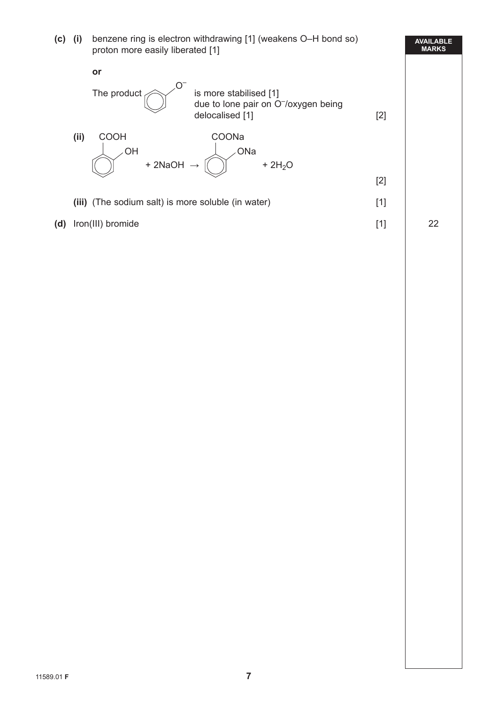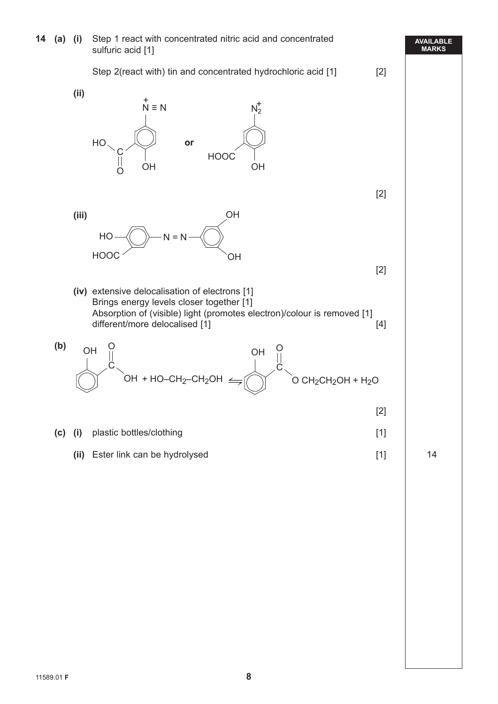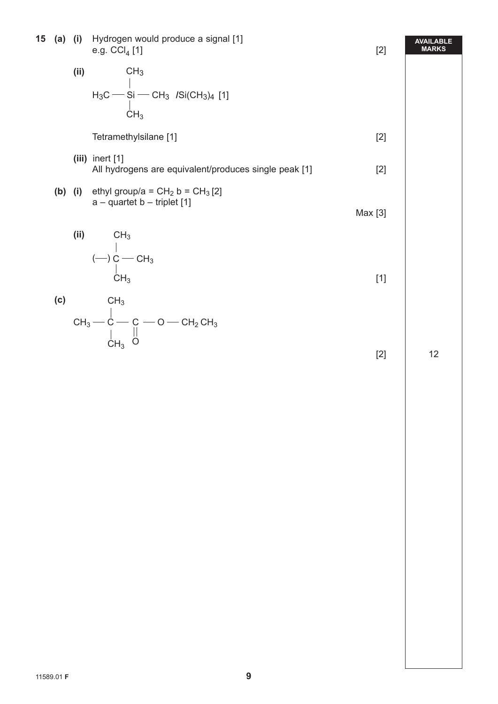| 15 |     |      | (a) (i) Hydrogen would produce a signal [1]<br>e.g. $CCI4 [1]$                          | $[2]$   | <b>AVAILABLE</b><br><b>MARKS</b> |
|----|-----|------|-----------------------------------------------------------------------------------------|---------|----------------------------------|
|    |     | (ii) | CH <sub>3</sub>                                                                         |         |                                  |
|    |     |      | $H_3C$ - Si - CH <sub>3</sub> /Si(CH <sub>3</sub> ) <sub>4</sub> [1]<br>CH <sub>3</sub> |         |                                  |
|    |     |      | Tetramethylsilane [1]                                                                   | $[2]$   |                                  |
|    |     |      | $(iii)$ inert $[1]$<br>All hydrogens are equivalent/produces single peak [1]            | $[2]$   |                                  |
|    |     |      | (b) (i) ethyl group/a = $CH_2 b = CH_3 [2]$<br>$a -$ quartet b - triplet [1]            | Max [3] |                                  |
|    |     |      | (ii) $CH_3$<br>$(-) C - CH_3$<br>$CH_3$<br>$CH_3$                                       | $[1]$   |                                  |
|    | (c) |      | CH <sub>3</sub><br>$CH_3$ - $C$ - $C$ - $O$ - $CH_2CH_3$<br>$CH_3$ - $O$ - $CH_2CH_3$   |         |                                  |
|    |     |      |                                                                                         | $[2]$   | 12                               |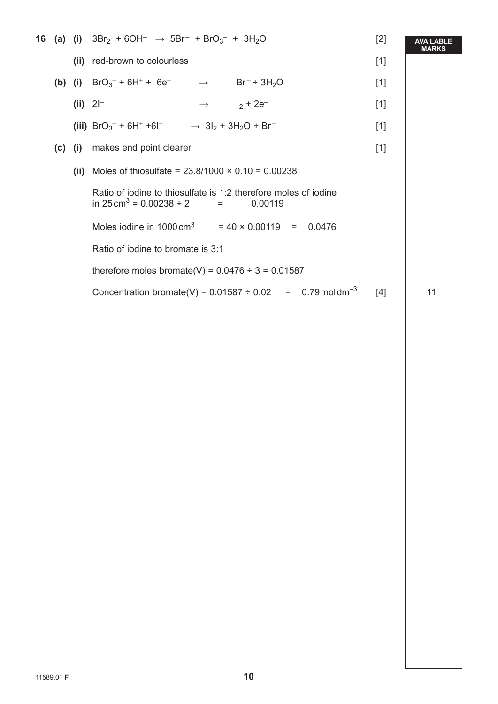|  |           | <b>16 (a) (i)</b> $3Br_2 + 6OH^- \rightarrow 5Br^- + BrO_3^- + 3H_2O$                                                  | $[2]$ | <b>AVAILABLE</b><br><b>MARKS</b> |
|--|-----------|------------------------------------------------------------------------------------------------------------------------|-------|----------------------------------|
|  |           | (ii) red-brown to colourless                                                                                           | $[1]$ |                                  |
|  |           | (b) (i) $BrO_3^- + 6H^+ + 6e^ \rightarrow$ $Br^- + 3H_2O$                                                              | $[1]$ |                                  |
|  |           | (ii) $21^{-}$<br>$\rightarrow$ $I_2 + 2e^-$                                                                            | $[1]$ |                                  |
|  |           | (iii) $BrO_3^-$ + 6H <sup>+</sup> +6I <sup>-</sup> $\rightarrow$ 3I <sub>2</sub> + 3H <sub>2</sub> O + Br <sup>-</sup> | $[1]$ |                                  |
|  | $(c)$ (i) | makes end point clearer                                                                                                | $[1]$ |                                  |
|  |           | (ii) Moles of thiosulfate = $23.8/1000 \times 0.10 = 0.00238$                                                          |       |                                  |
|  |           | Ratio of iodine to thiosulfate is 1:2 therefore moles of iodine<br>in $25 \text{ cm}^3$ = 0.00238 ÷ 2 =<br>0.00119     |       |                                  |
|  |           | Moles iodine in $1000 \text{ cm}^3$ = 40 × 0.00119 = 0.0476                                                            |       |                                  |
|  |           | Ratio of iodine to bromate is 3:1                                                                                      |       |                                  |
|  |           | therefore moles bromate(V) = $0.0476 \div 3 = 0.01587$                                                                 |       |                                  |
|  |           | Concentration bromate(V) = $0.01587 \div 0.02 = 0.79 \text{ mol dm}^{-3}$                                              | [4]   | 11                               |
|  |           |                                                                                                                        |       |                                  |